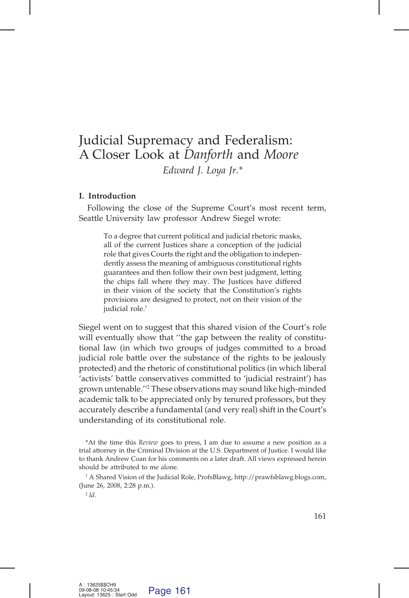# Judicial Supremacy and Federalism: A Closer Look at *Danforth* and *Moore Edward J. Loya Jr.\**

## **I. Introduction**

Following the close of the Supreme Court's most recent term, Seattle University law professor Andrew Siegel wrote:

To a degree that current political and judicial rhetoric masks, all of the current Justices share a conception of the judicial role that gives Courts the right and the obligation to independently assess the meaning of ambiguous constitutional rights guarantees and then follow their own best judgment, letting the chips fall where they may. The Justices have differed in their vision of the society that the Constitution's rights provisions are designed to protect, not on their vision of the judicial role.<sup>1</sup>

Siegel went on to suggest that this shared vision of the Court's role will eventually show that ''the gap between the reality of constitutional law (in which two groups of judges committed to a broad judicial role battle over the substance of the rights to be jealously protected) and the rhetoric of constitutional politics (in which liberal 'activists' battle conservatives committed to 'judicial restraint') has grown untenable.''2 These observations may sound like high-minded academic talk to be appreciated only by tenured professors, but they accurately describe a fundamental (and very real) shift in the Court's understanding of its constitutional role.

A : 13625\$\$CH9 09-08-08 10:45:34

09-08-08 10:45:34<br>Layout: 13625 : Start Odd Page 161

<sup>\*</sup>At the time this *Review* goes to press, I am due to assume a new position as a trial attorney in the Criminal Division at the U.S. Department of Justice. I would like to thank Andrew Coan for his comments on a later draft. All views expressed herein should be attributed to me alone.

<sup>&</sup>lt;sup>1</sup> A Shared Vision of the Judicial Role, ProfsBlawg, http://prawfsblawg.blogs.com, (June 26, 2008, 2:28 p.m.).

<sup>2</sup> *Id*.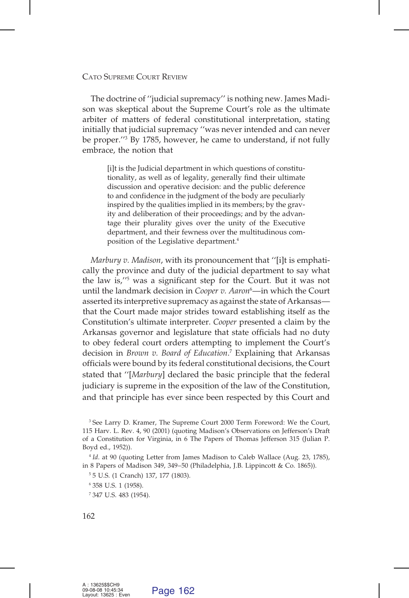The doctrine of ''judicial supremacy'' is nothing new. James Madison was skeptical about the Supreme Court's role as the ultimate arbiter of matters of federal constitutional interpretation, stating initially that judicial supremacy ''was never intended and can never be proper.''3 By 1785, however, he came to understand, if not fully embrace, the notion that

[i]t is the Judicial department in which questions of constitutionality, as well as of legality, generally find their ultimate discussion and operative decision: and the public deference to and confidence in the judgment of the body are peculiarly inspired by the qualities implied in its members; by the gravity and deliberation of their proceedings; and by the advantage their plurality gives over the unity of the Executive department, and their fewness over the multitudinous composition of the Legislative department.4

*Marbury v. Madison*, with its pronouncement that ''[i]t is emphatically the province and duty of the judicial department to say what the law is,''5 was a significant step for the Court. But it was not until the landmark decision in *Cooper v. Aaron*<sup>6</sup> —in which the Court asserted its interpretive supremacy as against the state of Arkansas that the Court made major strides toward establishing itself as the Constitution's ultimate interpreter. *Cooper* presented a claim by the Arkansas governor and legislature that state officials had no duty to obey federal court orders attempting to implement the Court's decision in *Brown v. Board of Education*. <sup>7</sup> Explaining that Arkansas officials were bound by its federal constitutional decisions, the Court stated that ''[*Marbury*] declared the basic principle that the federal judiciary is supreme in the exposition of the law of the Constitution, and that principle has ever since been respected by this Court and

<sup>&</sup>lt;sup>3</sup> See Larry D. Kramer, The Supreme Court 2000 Term Foreword: We the Court, 115 Harv. L. Rev. 4, 90 (2001) (quoting Madison's Observations on Jefferson's Draft of a Constitution for Virginia, in 6 The Papers of Thomas Jefferson 315 (Julian P. Boyd ed., 1952)).

<sup>4</sup> *Id*. at 90 (quoting Letter from James Madison to Caleb Wallace (Aug. 23, 1785), in 8 Papers of Madison 349, 349–50 (Philadelphia, J.B. Lippincott & Co. 1865)).

<sup>5</sup> 5 U.S. (1 Cranch) 137, 177 (1803).

<sup>6</sup> 358 U.S. 1 (1958).

<sup>7</sup> 347 U.S. 483 (1954).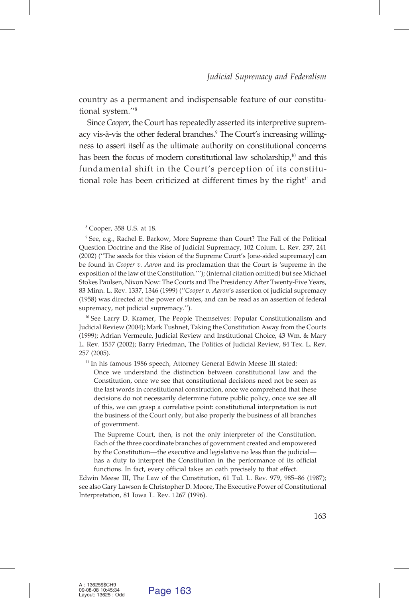country as a permanent and indispensable feature of our constitutional system.''8

Since *Cooper*, the Court has repeatedly asserted its interpretive supremacy vis-à-vis the other federal branches.<sup>9</sup> The Court's increasing willingness to assert itself as the ultimate authority on constitutional concerns has been the focus of modern constitutional law scholarship,<sup>10</sup> and this fundamental shift in the Court's perception of its constitutional role has been criticized at different times by the right $11$  and

<sup>8</sup> Cooper, 358 U.S. at 18.

<sup>9</sup> See, e.g., Rachel E. Barkow, More Supreme than Court? The Fall of the Political Question Doctrine and the Rise of Judicial Supremacy, 102 Colum. L. Rev. 237, 241 (2002) (''The seeds for this vision of the Supreme Court's [one-sided supremacy] can be found in *Cooper v. Aaron* and its proclamation that the Court is 'supreme in the exposition of the law of the Constitution.'''); (internal citation omitted) but see Michael Stokes Paulsen, Nixon Now: The Courts and The Presidency After Twenty-Five Years, 83 Minn. L. Rev. 1337, 1346 (1999) (''*Cooper v. Aaron*'s assertion of judicial supremacy (1958) was directed at the power of states, and can be read as an assertion of federal supremacy, not judicial supremacy.'').

 $10$  See Larry D. Kramer, The People Themselves: Popular Constitutionalism and Judicial Review (2004); Mark Tushnet, Taking the Constitution Away from the Courts (1999); Adrian Vermeule, Judicial Review and Institutional Choice, 43 Wm. & Mary L. Rev. 1557 (2002); Barry Friedman, The Politics of Judicial Review, 84 Tex. L. Rev. 257 (2005).

<sup>11</sup> In his famous 1986 speech, Attorney General Edwin Meese III stated:

Once we understand the distinction between constitutional law and the Constitution, once we see that constitutional decisions need not be seen as the last words in constitutional construction, once we comprehend that these decisions do not necessarily determine future public policy, once we see all of this, we can grasp a correlative point: constitutional interpretation is not the business of the Court only, but also properly the business of all branches of government.

The Supreme Court, then, is not the only interpreter of the Constitution. Each of the three coordinate branches of government created and empowered by the Constitution—the executive and legislative no less than the judicial has a duty to interpret the Constitution in the performance of its official functions. In fact, every official takes an oath precisely to that effect.

Edwin Meese III, The Law of the Constitution, 61 Tul. L. Rev. 979, 985–86 (1987); see also Gary Lawson & Christopher D. Moore, The Executive Power of Constitutional Interpretation, 81 Iowa L. Rev. 1267 (1996).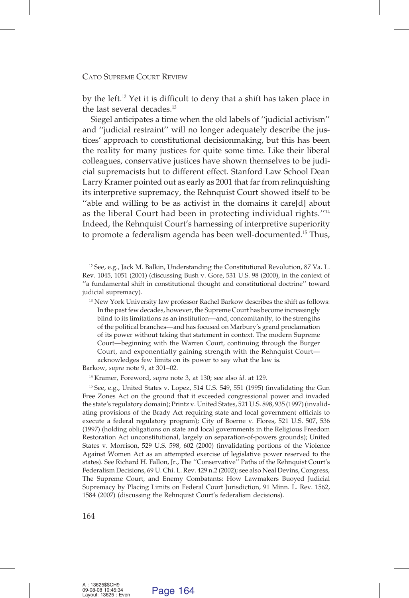by the left.12 Yet it is difficult to deny that a shift has taken place in the last several decades.<sup>13</sup>

Siegel anticipates a time when the old labels of ''judicial activism'' and ''judicial restraint'' will no longer adequately describe the justices' approach to constitutional decisionmaking, but this has been the reality for many justices for quite some time. Like their liberal colleagues, conservative justices have shown themselves to be judicial supremacists but to different effect. Stanford Law School Dean Larry Kramer pointed out as early as 2001 that far from relinquishing its interpretive supremacy, the Rehnquist Court showed itself to be ''able and willing to be as activist in the domains it care[d] about as the liberal Court had been in protecting individual rights.''14 Indeed, the Rehnquist Court's harnessing of interpretive superiority to promote a federalism agenda has been well-documented.<sup>15</sup> Thus,

<sup>12</sup> See, e.g., Jack M. Balkin, Understanding the Constitutional Revolution, 87 Va. L. Rev. 1045, 1051 (2001) (discussing Bush v. Gore, 531 U.S. 98 (2000), in the context of ''a fundamental shift in constitutional thought and constitutional doctrine'' toward judicial supremacy).

<sup>13</sup> New York University law professor Rachel Barkow describes the shift as follows: In the past few decades, however, the Supreme Court has become increasingly blind to its limitations as an institution—and, concomitantly, to the strengths of the political branches—and has focused on Marbury's grand proclamation of its power without taking that statement in context. The modern Supreme Court—beginning with the Warren Court, continuing through the Burger Court, and exponentially gaining strength with the Rehnquist Court acknowledges few limits on its power to say what the law is.

Barkow, *supra* note 9, at 301–02.

<sup>14</sup> Kramer, Foreword, *supra* note 3, at 130; see also *id*. at 129.

<sup>15</sup> See, e.g., United States v. Lopez, 514 U.S. 549, 551 (1995) (invalidating the Gun Free Zones Act on the ground that it exceeded congressional power and invaded the state's regulatory domain); Printz v. United States, 521 U.S. 898, 935 (1997) (invalidating provisions of the Brady Act requiring state and local government officials to execute a federal regulatory program); City of Boerne v. Flores, 521 U.S. 507, 536 (1997) (holding obligations on state and local governments in the Religious Freedom Restoration Act unconstitutional, largely on separation-of-powers grounds); United States v. Morrison, 529 U.S. 598, 602 (2000) (invalidating portions of the Violence Against Women Act as an attempted exercise of legislative power reserved to the states). See Richard H. Fallon, Jr., The ''Conservative'' Paths of the Rehnquist Court's Federalism Decisions, 69 U. Chi. L. Rev. 429 n.2 (2002); see also Neal Devins, Congress, The Supreme Court, and Enemy Combatants: How Lawmakers Buoyed Judicial Supremacy by Placing Limits on Federal Court Jurisdiction, 91 Minn. L. Rev. 1562, 1584 (2007) (discussing the Rehnquist Court's federalism decisions).

164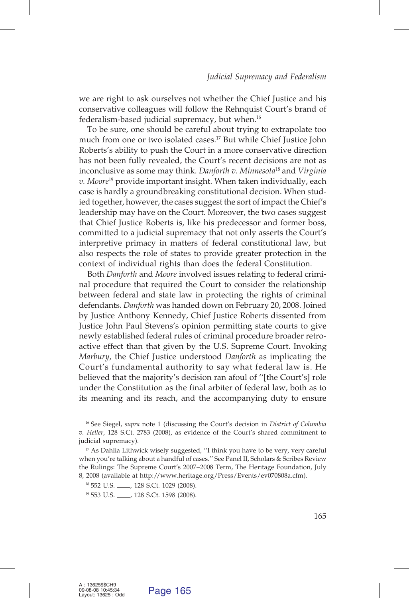we are right to ask ourselves not whether the Chief Justice and his conservative colleagues will follow the Rehnquist Court's brand of federalism-based judicial supremacy, but when.<sup>16</sup>

To be sure, one should be careful about trying to extrapolate too much from one or two isolated cases.<sup>17</sup> But while Chief Justice John Roberts's ability to push the Court in a more conservative direction has not been fully revealed, the Court's recent decisions are not as inconclusive as some may think. *Danforth v. Minnesota*<sup>18</sup> and *Virginia v. Moore*<sup>19</sup> provide important insight. When taken individually, each case is hardly a groundbreaking constitutional decision. When studied together, however, the cases suggest the sort of impact the Chief's leadership may have on the Court. Moreover, the two cases suggest that Chief Justice Roberts is, like his predecessor and former boss, committed to a judicial supremacy that not only asserts the Court's interpretive primacy in matters of federal constitutional law, but also respects the role of states to provide greater protection in the context of individual rights than does the federal Constitution.

Both *Danforth* and *Moore* involved issues relating to federal criminal procedure that required the Court to consider the relationship between federal and state law in protecting the rights of criminal defendants. *Danforth* was handed down on February 20, 2008. Joined by Justice Anthony Kennedy, Chief Justice Roberts dissented from Justice John Paul Stevens's opinion permitting state courts to give newly established federal rules of criminal procedure broader retroactive effect than that given by the U.S. Supreme Court. Invoking *Marbury*, the Chief Justice understood *Danforth* as implicating the Court's fundamental authority to say what federal law is. He believed that the majority's decision ran afoul of ''[the Court's] role under the Constitution as the final arbiter of federal law, both as to its meaning and its reach, and the accompanying duty to ensure

18 552 U.S. <sub>(128</sub> S.Ct. 1029 (2008).

<sup>19</sup> 553 U.S. <sub>(128</sub> S.Ct. 1598 (2008).



<sup>16</sup> See Siegel, *supra* note 1 (discussing the Court's decision in *District of Columbia v. Heller*, 128 S.Ct. 2783 (2008), as evidence of the Court's shared commitment to judicial supremacy).

<sup>&</sup>lt;sup>17</sup> As Dahlia Lithwick wisely suggested, "I think you have to be very, very careful when you're talking about a handful of cases.'' See Panel II, Scholars & Scribes Review the Rulings: The Supreme Court's 2007–2008 Term, The Heritage Foundation, July 8, 2008 (available at http://www.heritage.org/Press/Events/ev070808a.cfm).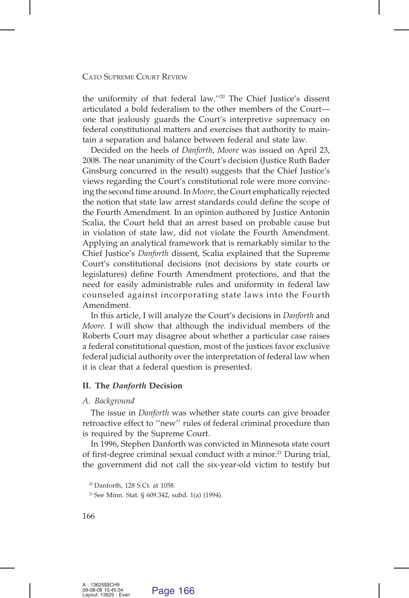the uniformity of that federal law.''20 The Chief Justice's dissent articulated a bold federalism to the other members of the Court one that jealously guards the Court's interpretive supremacy on federal constitutional matters and exercises that authority to maintain a separation and balance between federal and state law.

Decided on the heels of *Danforth*, *Moore* was issued on April 23, 2008. The near unanimity of the Court's decision (Justice Ruth Bader Ginsburg concurred in the result) suggests that the Chief Justice's views regarding the Court's constitutional role were more convincing the second time around. In *Moore*, the Court emphatically rejected the notion that state law arrest standards could define the scope of the Fourth Amendment. In an opinion authored by Justice Antonin Scalia, the Court held that an arrest based on probable cause but in violation of state law, did not violate the Fourth Amendment. Applying an analytical framework that is remarkably similar to the Chief Justice's *Danforth* dissent, Scalia explained that the Supreme Court's constitutional decisions (not decisions by state courts or legislatures) define Fourth Amendment protections, and that the need for easily administrable rules and uniformity in federal law counseled against incorporating state laws into the Fourth Amendment.

In this article, I will analyze the Court's decisions in *Danforth* and *Moore*. I will show that although the individual members of the Roberts Court may disagree about whether a particular case raises a federal constitutional question, most of the justices favor exclusive federal judicial authority over the interpretation of federal law when it is clear that a federal question is presented.

## **II. The** *Danforth* **Decision**

## *A. Background*

The issue in *Danforth* was whether state courts can give broader retroactive effect to ''new'' rules of federal criminal procedure than is required by the Supreme Court.

In 1996, Stephen Danforth was convicted in Minnesota state court of first-degree criminal sexual conduct with a minor.<sup>21</sup> During trial, the government did not call the six-year-old victim to testify but

<sup>20</sup> Danforth, 128 S.Ct. at 1058.

 $21$  See Minn. Stat. § 609.342, subd. 1(a) (1994).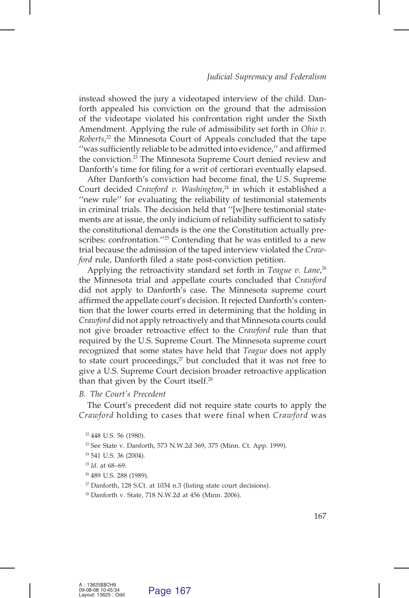instead showed the jury a videotaped interview of the child. Danforth appealed his conviction on the ground that the admission of the videotape violated his confrontation right under the Sixth Amendment. Applying the rule of admissibility set forth in *Ohio v. Roberts*, <sup>22</sup> the Minnesota Court of Appeals concluded that the tape ''was sufficiently reliable to be admitted into evidence,'' and affirmed the conviction.<sup>23</sup> The Minnesota Supreme Court denied review and Danforth's time for filing for a writ of certiorari eventually elapsed.

After Danforth's conviction had become final, the U.S. Supreme Court decided *Crawford v. Washington*, <sup>24</sup> in which it established a "new rule" for evaluating the reliability of testimonial statements in criminal trials. The decision held that ''[w]here testimonial statements are at issue, the only indicium of reliability sufficient to satisfy the constitutional demands is the one the Constitution actually prescribes: confrontation.<sup>''25</sup> Contending that he was entitled to a new trial because the admission of the taped interview violated the *Crawford* rule, Danforth filed a state post-conviction petition.

Applying the retroactivity standard set forth in *Teague v. Lane*,<sup>26</sup> the Minnesota trial and appellate courts concluded that *Crawford* did not apply to Danforth's case. The Minnesota supreme court affirmed the appellate court's decision. It rejected Danforth's contention that the lower courts erred in determining that the holding in *Crawford* did not apply retroactively and that Minnesota courts could not give broader retroactive effect to the *Crawford* rule than that required by the U.S. Supreme Court. The Minnesota supreme court recognized that some states have held that *Teague* does not apply to state court proceedings, $27$  but concluded that it was not free to give a U.S. Supreme Court decision broader retroactive application than that given by the Court itself.<sup>28</sup>

#### *B. The Court's Precedent*

The Court's precedent did not require state courts to apply the *Crawford* holding to cases that were final when *Crawford* was

<sup>24</sup> 541 U.S. 36 (2004).

- <sup>26</sup> 489 U.S. 288 (1989).
- $27$  Danforth, 128 S.Ct. at 1034 n.3 (listing state court decisions).
- <sup>28</sup> Danforth v. State, 718 N.W.2d at 456 (Minn. 2006).

<sup>22</sup> 448 U.S. 56 (1980).

<sup>23</sup> See State v. Danforth, 573 N.W.2d 369, 375 (Minn. Ct. App. 1999).

<sup>25</sup> *Id*. at 68–69.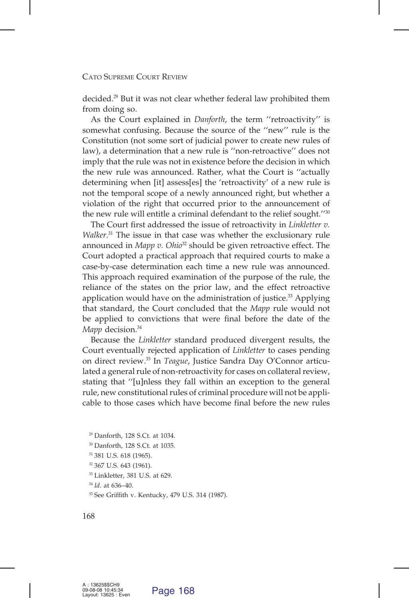decided.<sup>29</sup> But it was not clear whether federal law prohibited them from doing so.

As the Court explained in *Danforth*, the term ''retroactivity'' is somewhat confusing. Because the source of the ''new'' rule is the Constitution (not some sort of judicial power to create new rules of law), a determination that a new rule is ''non-retroactive'' does not imply that the rule was not in existence before the decision in which the new rule was announced. Rather, what the Court is ''actually determining when [it] assess[es] the 'retroactivity' of a new rule is not the temporal scope of a newly announced right, but whether a violation of the right that occurred prior to the announcement of the new rule will entitle a criminal defendant to the relief sought.''30

The Court first addressed the issue of retroactivity in *Linkletter v. Walker*. <sup>31</sup> The issue in that case was whether the exclusionary rule announced in *Mapp v. Ohio*<sup>32</sup> should be given retroactive effect. The Court adopted a practical approach that required courts to make a case-by-case determination each time a new rule was announced. This approach required examination of the purpose of the rule, the reliance of the states on the prior law, and the effect retroactive application would have on the administration of justice.<sup>33</sup> Applying that standard, the Court concluded that the *Mapp* rule would not be applied to convictions that were final before the date of the *Mapp* decision.<sup>34</sup>

Because the *Linkletter* standard produced divergent results, the Court eventually rejected application of *Linkletter* to cases pending on direct review.35 In *Teague*, Justice Sandra Day O'Connor articulated a general rule of non-retroactivity for cases on collateral review, stating that ''[u]nless they fall within an exception to the general rule, new constitutional rules of criminal procedure will not be applicable to those cases which have become final before the new rules

- <sup>29</sup> Danforth, 128 S.Ct. at 1034.
- <sup>30</sup> Danforth, 128 S.Ct. at 1035.
- <sup>31</sup> 381 U.S. 618 (1965).
- <sup>32</sup> 367 U.S. 643 (1961).
- <sup>33</sup> Linkletter, 381 U.S. at 629.

<sup>34</sup> *Id*. at 636–40.

<sup>35</sup> See Griffith v. Kentucky, 479 U.S. 314 (1987).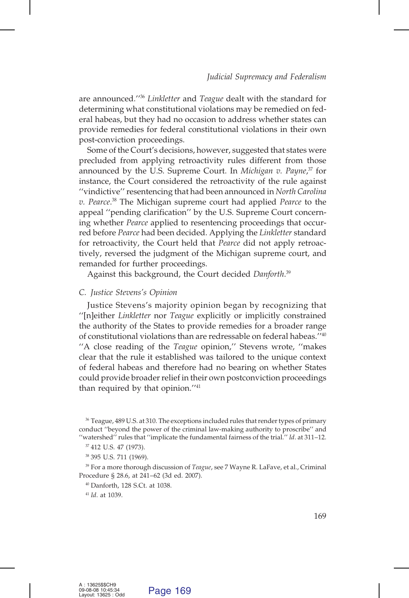are announced.''36 *Linkletter* and *Teague* dealt with the standard for determining what constitutional violations may be remedied on federal habeas, but they had no occasion to address whether states can provide remedies for federal constitutional violations in their own post-conviction proceedings.

Some of the Court's decisions, however, suggested that states were precluded from applying retroactivity rules different from those announced by the U.S. Supreme Court. In *Michigan v. Payne*, <sup>37</sup> for instance, the Court considered the retroactivity of the rule against ''vindictive'' resentencing that had been announced in *North Carolina v. Pearce*. <sup>38</sup> The Michigan supreme court had applied *Pearce* to the appeal ''pending clarification'' by the U.S. Supreme Court concerning whether *Pearce* applied to resentencing proceedings that occurred before *Pearce* had been decided. Applying the *Linkletter* standard for retroactivity, the Court held that *Pearce* did not apply retroactively, reversed the judgment of the Michigan supreme court, and remanded for further proceedings.

Against this background, the Court decided *Danforth*. 39

# *C. Justice Stevens's Opinion*

Justice Stevens's majority opinion began by recognizing that ''[n]either *Linkletter* nor *Teague* explicitly or implicitly constrained the authority of the States to provide remedies for a broader range of constitutional violations than are redressable on federal habeas.''40 ''A close reading of the *Teague* opinion,'' Stevens wrote, ''makes clear that the rule it established was tailored to the unique context of federal habeas and therefore had no bearing on whether States could provide broader relief in their own postconviction proceedings than required by that opinion."<sup>41</sup>

<sup>39</sup> For a more thorough discussion of *Teague*, see 7 Wayne R. LaFave, et al., Criminal Procedure § 28.6, at 241–62 (3d ed. 2007).

<sup>40</sup> Danforth, 128 S.Ct. at 1038.

169

<sup>&</sup>lt;sup>36</sup> Teague, 489 U.S. at 310. The exceptions included rules that render types of primary conduct ''beyond the power of the criminal law-making authority to proscribe'' and ''watershed'' rules that ''implicate the fundamental fairness of the trial.'' *Id*. at 311–12.

<sup>37</sup> 412 U.S. 47 (1973).

<sup>38</sup> 395 U.S. 711 (1969).

<sup>41</sup> *Id*. at 1039.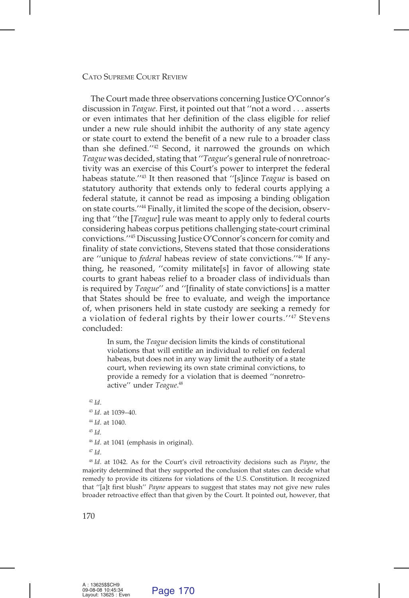The Court made three observations concerning Justice O'Connor's discussion in *Teague*. First, it pointed out that ''not a word . . . asserts or even intimates that her definition of the class eligible for relief under a new rule should inhibit the authority of any state agency or state court to extend the benefit of a new rule to a broader class than she defined.''42 Second, it narrowed the grounds on which *Teague* was decided, stating that ''*Teague*'s general rule of nonretroactivity was an exercise of this Court's power to interpret the federal habeas statute.''43 It then reasoned that ''[s]ince *Teague* is based on statutory authority that extends only to federal courts applying a federal statute, it cannot be read as imposing a binding obligation on state courts.''44 Finally, it limited the scope of the decision, observing that ''the [*Teague*] rule was meant to apply only to federal courts considering habeas corpus petitions challenging state-court criminal convictions.''45 Discussing Justice O'Connor's concern for comity and finality of state convictions, Stevens stated that those considerations are ''unique to *federal* habeas review of state convictions.''46 If anything, he reasoned, ''comity militate[s] in favor of allowing state courts to grant habeas relief to a broader class of individuals than is required by *Teague*'' and ''[finality of state convictions] is a matter that States should be free to evaluate, and weigh the importance of, when prisoners held in state custody are seeking a remedy for a violation of federal rights by their lower courts."<sup>47</sup> Stevens concluded:

In sum, the *Teague* decision limits the kinds of constitutional violations that will entitle an individual to relief on federal habeas, but does not in any way limit the authority of a state court, when reviewing its own state criminal convictions, to provide a remedy for a violation that is deemed ''nonretroactive'' under *Teague*. 48

<sup>42</sup> *Id*. <sup>43</sup> *Id*. at 1039–40. <sup>44</sup> *Id*. at 1040. <sup>45</sup> *Id.* <sup>46</sup> *Id*. at 1041 (emphasis in original). <sup>47</sup> *Id*.

<sup>48</sup> *Id*. at 1042. As for the Court's civil retroactivity decisions such as *Payne*, the majority determined that they supported the conclusion that states can decide what remedy to provide its citizens for violations of the U.S. Constitution. It recognized that ''[a]t first blush'' *Payne* appears to suggest that states may not give new rules broader retroactive effect than that given by the Court. It pointed out, however, that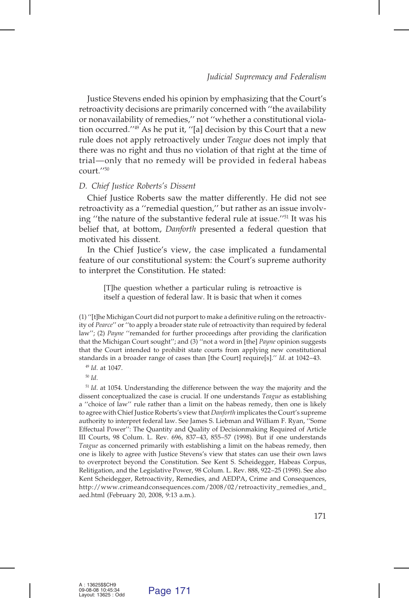Justice Stevens ended his opinion by emphasizing that the Court's retroactivity decisions are primarily concerned with ''the availability or nonavailability of remedies,'' not ''whether a constitutional violation occurred.''49 As he put it, ''[a] decision by this Court that a new rule does not apply retroactively under *Teague* does not imply that there was no right and thus no violation of that right at the time of trial—only that no remedy will be provided in federal habeas court.''50

## *D. Chief Justice Roberts's Dissent*

Chief Justice Roberts saw the matter differently. He did not see retroactivity as a ''remedial question,'' but rather as an issue involving ''the nature of the substantive federal rule at issue.''51 It was his belief that, at bottom, *Danforth* presented a federal question that motivated his dissent.

In the Chief Justice's view, the case implicated a fundamental feature of our constitutional system: the Court's supreme authority to interpret the Constitution. He stated:

[T]he question whether a particular ruling is retroactive is itself a question of federal law. It is basic that when it comes

(1) ''[t]he Michigan Court did not purport to make a definitive ruling on the retroactivity of *Pearce*'' or ''to apply a broader state rule of retroactivity than required by federal law''; (2) *Payne* ''remanded for further proceedings after providing the clarification that the Michigan Court sought''; and (3) ''not a word in [the] *Payne* opinion suggests that the Court intended to prohibit state courts from applying new constitutional standards in a broader range of cases than [the Court] require[s].'' *Id*. at 1042–43.

# <sup>49</sup> *Id*. at 1047.

<sup>50</sup> *Id*.

<sup>51</sup> *Id*. at 1054. Understanding the difference between the way the majority and the dissent conceptualized the case is crucial. If one understands *Teague* as establishing a ''choice of law'' rule rather than a limit on the habeas remedy, then one is likely to agree with Chief Justice Roberts's view that *Danforth* implicates the Court's supreme authority to interpret federal law. See James S. Liebman and William F. Ryan, ''Some Effectual Power'': The Quantity and Quality of Decisionmaking Required of Article III Courts, 98 Colum. L. Rev. 696, 837–43, 855–57 (1998). But if one understands *Teague* as concerned primarily with establishing a limit on the habeas remedy, then one is likely to agree with Justice Stevens's view that states can use their own laws to overprotect beyond the Constitution. See Kent S. Scheidegger, Habeas Corpus, Relitigation, and the Legislative Power, 98 Colum. L. Rev. 888, 922–25 (1998). See also Kent Scheidegger, Retroactivity, Remedies, and AEDPA, Crime and Consequences, http://www.crimeandconsequences.com/2008/02/retroactivity\_remedies\_and\_ aed.html (February 20, 2008, 9:13 a.m.).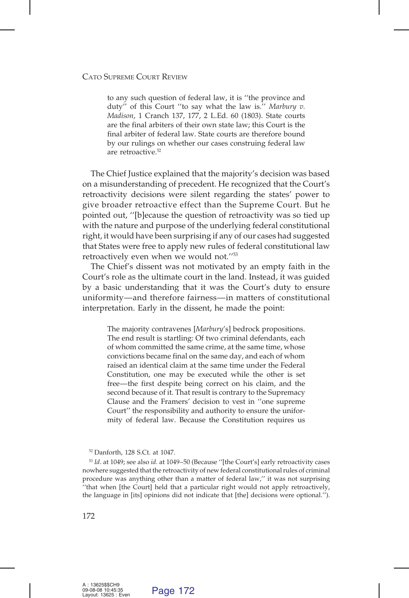to any such question of federal law, it is ''the province and duty'' of this Court ''to say what the law is.'' *Marbury v. Madison*, 1 Cranch 137, 177, 2 L.Ed. 60 (1803). State courts are the final arbiters of their own state law; this Court is the final arbiter of federal law. State courts are therefore bound by our rulings on whether our cases construing federal law are retroactive.<sup>52</sup>

The Chief Justice explained that the majority's decision was based on a misunderstanding of precedent. He recognized that the Court's retroactivity decisions were silent regarding the states' power to give broader retroactive effect than the Supreme Court. But he pointed out, ''[b]ecause the question of retroactivity was so tied up with the nature and purpose of the underlying federal constitutional right, it would have been surprising if any of our cases had suggested that States were free to apply new rules of federal constitutional law retroactively even when we would not."<sup>53</sup>

The Chief's dissent was not motivated by an empty faith in the Court's role as the ultimate court in the land. Instead, it was guided by a basic understanding that it was the Court's duty to ensure uniformity—and therefore fairness—in matters of constitutional interpretation. Early in the dissent, he made the point:

The majority contravenes [*Marbury*'s] bedrock propositions. The end result is startling: Of two criminal defendants, each of whom committed the same crime, at the same time, whose convictions became final on the same day, and each of whom raised an identical claim at the same time under the Federal Constitution, one may be executed while the other is set free—the first despite being correct on his claim, and the second because of it. That result is contrary to the Supremacy Clause and the Framers' decision to vest in ''one supreme Court'' the responsibility and authority to ensure the uniformity of federal law. Because the Constitution requires us

<sup>52</sup> Danforth, 128 S.Ct. at 1047.

<sup>53</sup> *Id*. at 1049; see also *id.* at 1049–50 (Because ''[the Court's] early retroactivity cases nowhere suggested that the retroactivity of new federal constitutional rules of criminal procedure was anything other than a matter of federal law,'' it was not surprising ''that when [the Court] held that a particular right would not apply retroactively, the language in [its] opinions did not indicate that [the] decisions were optional.'').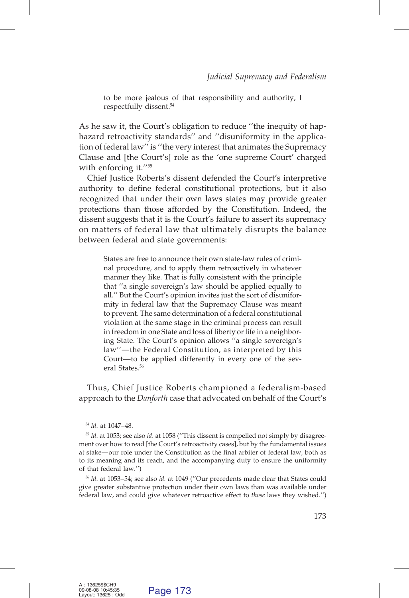to be more jealous of that responsibility and authority, I respectfully dissent.54

As he saw it, the Court's obligation to reduce ''the inequity of haphazard retroactivity standards'' and ''disuniformity in the application of federal law'' is ''the very interest that animates the Supremacy Clause and [the Court's] role as the 'one supreme Court' charged with enforcing it."<sup>55</sup>

Chief Justice Roberts's dissent defended the Court's interpretive authority to define federal constitutional protections, but it also recognized that under their own laws states may provide greater protections than those afforded by the Constitution. Indeed, the dissent suggests that it is the Court's failure to assert its supremacy on matters of federal law that ultimately disrupts the balance between federal and state governments:

States are free to announce their own state-law rules of criminal procedure, and to apply them retroactively in whatever manner they like. That is fully consistent with the principle that ''a single sovereign's law should be applied equally to all.'' But the Court's opinion invites just the sort of disuniformity in federal law that the Supremacy Clause was meant to prevent. The same determination of a federal constitutional violation at the same stage in the criminal process can result in freedom in one State and loss of liberty or life in a neighboring State. The Court's opinion allows ''a single sovereign's law''—the Federal Constitution, as interpreted by this Court—to be applied differently in every one of the several States.<sup>56</sup>

Thus, Chief Justice Roberts championed a federalism-based approach to the *Danforth* case that advocated on behalf of the Court's

<sup>56</sup> *Id*. at 1053–54; see also *id.* at 1049 (''Our precedents made clear that States could give greater substantive protection under their own laws than was available under federal law, and could give whatever retroactive effect to *those* laws they wished.'')

<sup>54</sup> *Id*. at 1047–48.

<sup>55</sup> *Id*. at 1053; see also *id.* at 1058 (''This dissent is compelled not simply by disagreement over how to read [the Court's retroactivity cases], but by the fundamental issues at stake—our role under the Constitution as the final arbiter of federal law, both as to its meaning and its reach, and the accompanying duty to ensure the uniformity of that federal law.'')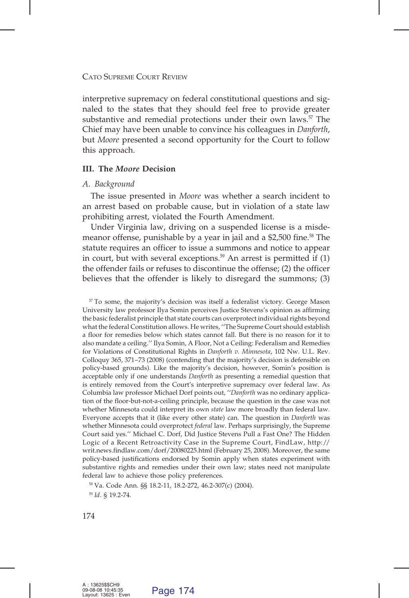interpretive supremacy on federal constitutional questions and signaled to the states that they should feel free to provide greater substantive and remedial protections under their own laws.<sup>57</sup> The Chief may have been unable to convince his colleagues in *Danforth*, but *Moore* presented a second opportunity for the Court to follow this approach.

# **III. The** *Moore* **Decision**

#### *A. Background*

The issue presented in *Moore* was whether a search incident to an arrest based on probable cause, but in violation of a state law prohibiting arrest, violated the Fourth Amendment.

Under Virginia law, driving on a suspended license is a misdemeanor offense, punishable by a year in jail and a \$2,500 fine.<sup>58</sup> The statute requires an officer to issue a summons and notice to appear in court, but with several exceptions.<sup>59</sup> An arrest is permitted if  $(1)$ the offender fails or refuses to discontinue the offense; (2) the officer believes that the offender is likely to disregard the summons; (3)

<sup>57</sup> To some, the majority's decision was itself a federalist victory. George Mason University law professor Ilya Somin perceives Justice Stevens's opinion as affirming the basic federalist principle that state courts can overprotect individual rights beyond what the federal Constitution allows. He writes, ''The Supreme Court should establish a floor for remedies below which states cannot fall. But there is no reason for it to also mandate a ceiling.'' Ilya Somin, A Floor, Not a Ceiling: Federalism and Remedies for Violations of Constitutional Rights in *Danforth v. Minnesota*, 102 Nw. U.L. Rev. Colloquy 365, 371–73 (2008) (contending that the majority's decision is defensible on policy-based grounds). Like the majority's decision, however, Somin's position is acceptable only if one understands *Danforth* as presenting a remedial question that is entirely removed from the Court's interpretive supremacy over federal law. As Columbia law professor Michael Dorf points out, ''*Danforth* was no ordinary application of the floor-but-not-a-ceiling principle, because the question in the case was not whether Minnesota could interpret its own *state* law more broadly than federal law. Everyone accepts that it (like every other state) can. The question in *Danforth* was whether Minnesota could overprotect *federal* law. Perhaps surprisingly, the Supreme Court said yes.'' Michael C. Dorf, Did Justice Stevens Pull a Fast One? The Hidden Logic of a Recent Retroactivity Case in the Supreme Court, FindLaw, http:// writ.news.findlaw.com/dorf/20080225.html (February 25, 2008). Moreover, the same policy-based justifications endorsed by Somin apply when states experiment with substantive rights and remedies under their own law; states need not manipulate federal law to achieve those policy preferences.

<sup>58</sup> Va. Code Ann. §§ 18.2-11, 18.2-272, 46.2-307(c) (2004). <sup>59</sup> *Id*. § 19.2-74.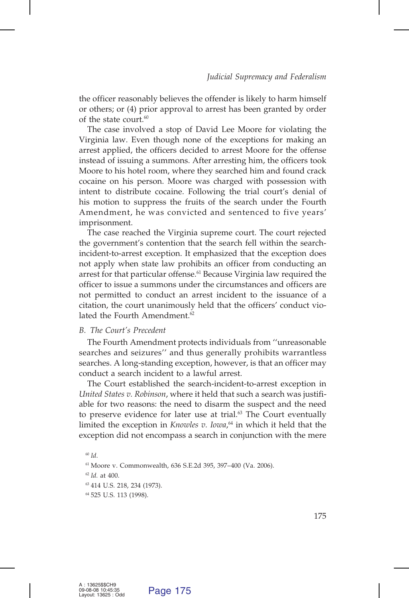the officer reasonably believes the offender is likely to harm himself or others; or (4) prior approval to arrest has been granted by order of the state court. $60$ 

The case involved a stop of David Lee Moore for violating the Virginia law. Even though none of the exceptions for making an arrest applied, the officers decided to arrest Moore for the offense instead of issuing a summons. After arresting him, the officers took Moore to his hotel room, where they searched him and found crack cocaine on his person. Moore was charged with possession with intent to distribute cocaine. Following the trial court's denial of his motion to suppress the fruits of the search under the Fourth Amendment, he was convicted and sentenced to five years' imprisonment.

The case reached the Virginia supreme court. The court rejected the government's contention that the search fell within the searchincident-to-arrest exception. It emphasized that the exception does not apply when state law prohibits an officer from conducting an arrest for that particular offense.<sup>61</sup> Because Virginia law required the officer to issue a summons under the circumstances and officers are not permitted to conduct an arrest incident to the issuance of a citation, the court unanimously held that the officers' conduct violated the Fourth Amendment.<sup>62</sup>

# *B. The Court's Precedent*

The Fourth Amendment protects individuals from ''unreasonable searches and seizures'' and thus generally prohibits warrantless searches. A long-standing exception, however, is that an officer may conduct a search incident to a lawful arrest.

The Court established the search-incident-to-arrest exception in *United States v. Robinson*, where it held that such a search was justifiable for two reasons: the need to disarm the suspect and the need to preserve evidence for later use at trial. $63$  The Court eventually limited the exception in *Knowles v. Iowa*, <sup>64</sup> in which it held that the exception did not encompass a search in conjunction with the mere

<sup>60</sup> *Id*. <sup>61</sup> Moore v. Commonwealth, 636 S.E.2d 395, 397–400 (Va. 2006). <sup>62</sup> *Id.* at 400. <sup>63</sup> 414 U.S. 218, 234 (1973).

<sup>64</sup> 525 U.S. 113 (1998).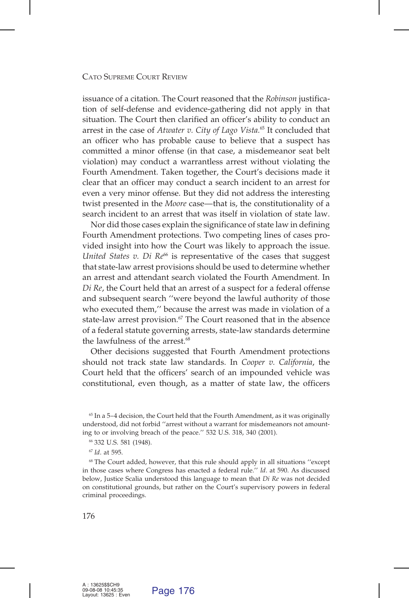issuance of a citation. The Court reasoned that the *Robinson* justification of self-defense and evidence-gathering did not apply in that situation. The Court then clarified an officer's ability to conduct an arrest in the case of *Atwater v. City of Lago Vista.*<sup>65</sup> It concluded that an officer who has probable cause to believe that a suspect has committed a minor offense (in that case, a misdemeanor seat belt violation) may conduct a warrantless arrest without violating the Fourth Amendment. Taken together, the Court's decisions made it clear that an officer may conduct a search incident to an arrest for even a very minor offense. But they did not address the interesting twist presented in the *Moore* case—that is, the constitutionality of a search incident to an arrest that was itself in violation of state law.

Nor did those cases explain the significance of state law in defining Fourth Amendment protections. Two competing lines of cases provided insight into how the Court was likely to approach the issue. *United States v. Di Re<sup>66</sup>* is representative of the cases that suggest that state-law arrest provisions should be used to determine whether an arrest and attendant search violated the Fourth Amendment. In *Di Re*, the Court held that an arrest of a suspect for a federal offense and subsequent search ''were beyond the lawful authority of those who executed them,'' because the arrest was made in violation of a state-law arrest provision.<sup>67</sup> The Court reasoned that in the absence of a federal statute governing arrests, state-law standards determine the lawfulness of the arrest.<sup>68</sup>

Other decisions suggested that Fourth Amendment protections should not track state law standards. In *Cooper v. California*, the Court held that the officers' search of an impounded vehicle was constitutional, even though, as a matter of state law, the officers

 $65$  In a 5-4 decision, the Court held that the Fourth Amendment, as it was originally understood, did not forbid ''arrest without a warrant for misdemeanors not amounting to or involving breach of the peace.'' 532 U.S. 318, 340 (2001).

<sup>66</sup> 332 U.S. 581 (1948).

<sup>67</sup> *Id*. at 595.

<sup>&</sup>lt;sup>68</sup> The Court added, however, that this rule should apply in all situations "except in those cases where Congress has enacted a federal rule.'' *Id*. at 590. As discussed below, Justice Scalia understood this language to mean that *Di Re* was not decided on constitutional grounds, but rather on the Court's supervisory powers in federal criminal proceedings.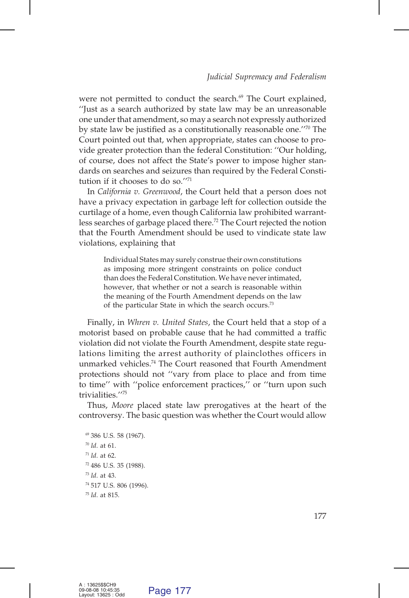were not permitted to conduct the search.<sup>69</sup> The Court explained, ''Just as a search authorized by state law may be an unreasonable one under that amendment, so may a search not expressly authorized by state law be justified as a constitutionally reasonable one.''70 The Court pointed out that, when appropriate, states can choose to provide greater protection than the federal Constitution: ''Our holding, of course, does not affect the State's power to impose higher standards on searches and seizures than required by the Federal Constitution if it chooses to do so.''71

In *California v. Greenwood*, the Court held that a person does not have a privacy expectation in garbage left for collection outside the curtilage of a home, even though California law prohibited warrantless searches of garbage placed there.<sup>72</sup> The Court rejected the notion that the Fourth Amendment should be used to vindicate state law violations, explaining that

Individual States may surely construe their own constitutions as imposing more stringent constraints on police conduct than does the Federal Constitution. We have never intimated, however, that whether or not a search is reasonable within the meaning of the Fourth Amendment depends on the law of the particular State in which the search occurs.<sup>73</sup>

Finally, in *Whren v. United States*, the Court held that a stop of a motorist based on probable cause that he had committed a traffic violation did not violate the Fourth Amendment, despite state regulations limiting the arrest authority of plainclothes officers in unmarked vehicles.<sup>74</sup> The Court reasoned that Fourth Amendment protections should not ''vary from place to place and from time to time'' with ''police enforcement practices,'' or ''turn upon such trivialities.''75

Thus, *Moore* placed state law prerogatives at the heart of the controversy. The basic question was whether the Court would allow

Page 177

 386 U.S. 58 (1967). *Id*. at 61. *Id*. at 62. 486 U.S. 35 (1988). *Id*. at 43. 517 U.S. 806 (1996). *Id*. at 815.

A : 13625\$\$CH9 09-08-08 10:45:35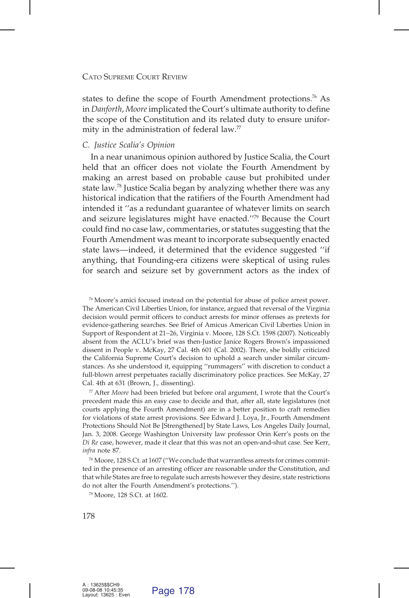states to define the scope of Fourth Amendment protections.<sup>76</sup> As in *Danforth*, *Moore*implicated the Court's ultimate authority to define the scope of the Constitution and its related duty to ensure uniformity in the administration of federal law. $77$ 

# *C. Justice Scalia's Opinion*

In a near unanimous opinion authored by Justice Scalia, the Court held that an officer does not violate the Fourth Amendment by making an arrest based on probable cause but prohibited under state law.78 Justice Scalia began by analyzing whether there was any historical indication that the ratifiers of the Fourth Amendment had intended it ''as a redundant guarantee of whatever limits on search and seizure legislatures might have enacted.''79 Because the Court could find no case law, commentaries, or statutes suggesting that the Fourth Amendment was meant to incorporate subsequently enacted state laws—indeed, it determined that the evidence suggested ''if anything, that Founding-era citizens were skeptical of using rules for search and seizure set by government actors as the index of

<sup>76</sup> Moore's amici focused instead on the potential for abuse of police arrest power. The American Civil Liberties Union, for instance, argued that reversal of the Virginia decision would permit officers to conduct arrests for minor offenses as pretexts for evidence-gathering searches. See Brief of Amicus American Civil Liberties Union in Support of Respondent at 21–26, Virginia v. Moore, 128 S.Ct. 1598 (2007). Noticeably absent from the ACLU's brief was then-Justice Janice Rogers Brown's impassioned dissent in People v. McKay, 27 Cal. 4th 601 (Cal. 2002). There, she boldly criticized the California Supreme Court's decision to uphold a search under similar circumstances. As she understood it, equipping ''rummagers'' with discretion to conduct a full-blown arrest perpetuates racially discriminatory police practices. See McKay, 27 Cal. 4th at 631 (Brown, J., dissenting).

<sup>77</sup> After *Moore* had been briefed but before oral argument, I wrote that the Court's precedent made this an easy case to decide and that, after all, state legislatures (not courts applying the Fourth Amendment) are in a better position to craft remedies for violations of state arrest provisions. See Edward J. Loya, Jr., Fourth Amendment Protections Should Not Be [Strengthened] by State Laws, Los Angeles Daily Journal, Jan. 3, 2008. George Washington University law professor Orin Kerr's posts on the *Di Re* case, however, made it clear that this was not an open-and-shut case. See Kerr, *infra* note 87.

<sup>78</sup> Moore, 128 S.Ct. at 1607 (''We conclude that warrantless arrests for crimes committed in the presence of an arresting officer are reasonable under the Constitution, and that while States are free to regulate such arrests however they desire, state restrictions do not alter the Fourth Amendment's protections.'').

<sup>79</sup> Moore, 128 S.Ct. at 1602.

178

A : 13625\$\$CH9 09-08-08 10:45:35<br>Layout: 13625 : Even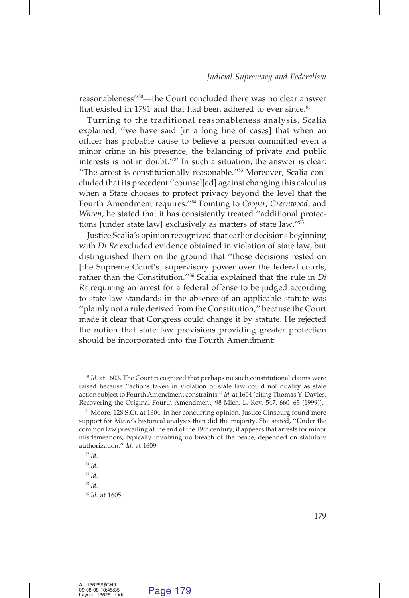reasonableness''80—the Court concluded there was no clear answer that existed in 1791 and that had been adhered to ever since. $81$ 

Turning to the traditional reasonableness analysis, Scalia explained, ''we have said [in a long line of cases] that when an officer has probable cause to believe a person committed even a minor crime in his presence, the balancing of private and public interests is not in doubt.''82 In such a situation, the answer is clear: ''The arrest is constitutionally reasonable.''83 Moreover, Scalia concluded that its precedent ''counsel[ed] against changing this calculus when a State chooses to protect privacy beyond the level that the Fourth Amendment requires.''84 Pointing to *Cooper*, *Greenwood*, and *Whren*, he stated that it has consistently treated ''additional protections [under state law] exclusively as matters of state law.''85

Justice Scalia's opinion recognized that earlier decisions beginning with *Di Re* excluded evidence obtained in violation of state law, but distinguished them on the ground that ''those decisions rested on [the Supreme Court's] supervisory power over the federal courts, rather than the Constitution.''86 Scalia explained that the rule in *Di Re* requiring an arrest for a federal offense to be judged according to state-law standards in the absence of an applicable statute was ''plainly not a rule derived from the Constitution,'' because the Court made it clear that Congress could change it by statute. He rejected the notion that state law provisions providing greater protection should be incorporated into the Fourth Amendment:

<sup>80</sup> Id. at 1603. The Court recognized that perhaps no such constitutional claims were raised because ''actions taken in violation of state law could not qualify as state action subject to Fourth Amendment constraints.'' *Id*. at 1604 (citing Thomas Y. Davies, Recovering the Original Fourth Amendment, 98 Mich. L. Rev. 547, 660–63 (1999)).

Page 179

<sup>83</sup> *Id*.

<sup>84</sup> *Id*.

<sup>85</sup> *Id*.

<sup>86</sup> *Id*. at 1605.

A : 13625\$\$CH9 09-08-08 10:45:35

<sup>&</sup>lt;sup>81</sup> Moore, 128 S.Ct. at 1604. In her concurring opinion, Justice Ginsburg found more support for *Moore's* historical analysis than did the majority. She stated, ''Under the common law prevailing at the end of the 19th century, it appears that arrests for minor misdemeanors, typically involving no breach of the peace, depended on statutory authorization.'' *Id*. at 1609.

<sup>82</sup> *Id*.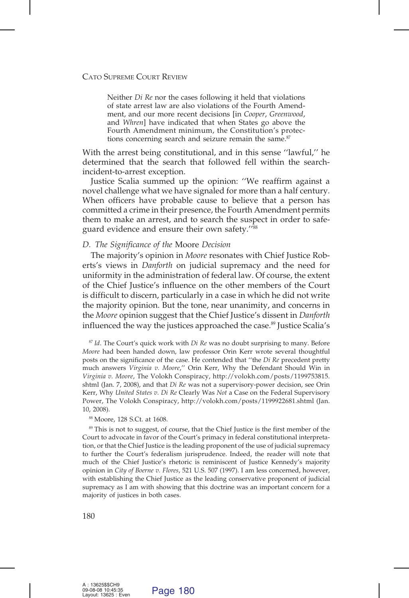Neither *Di Re* nor the cases following it held that violations of state arrest law are also violations of the Fourth Amendment, and our more recent decisions [in *Cooper*, *Greenwood*, and *Whren*] have indicated that when States go above the Fourth Amendment minimum, the Constitution's protections concerning search and seizure remain the same.<sup>87</sup>

With the arrest being constitutional, and in this sense ''lawful,'' he determined that the search that followed fell within the searchincident-to-arrest exception.

Justice Scalia summed up the opinion: ''We reaffirm against a novel challenge what we have signaled for more than a half century. When officers have probable cause to believe that a person has committed a crime in their presence, the Fourth Amendment permits them to make an arrest, and to search the suspect in order to safeguard evidence and ensure their own safety.''88

## *D. The Significance of the* Moore *Decision*

The majority's opinion in *Moore* resonates with Chief Justice Roberts's views in *Danforth* on judicial supremacy and the need for uniformity in the administration of federal law. Of course, the extent of the Chief Justice's influence on the other members of the Court is difficult to discern, particularly in a case in which he did not write the majority opinion. But the tone, near unanimity, and concerns in the *Moore* opinion suggest that the Chief Justice's dissent in *Danforth* influenced the way the justices approached the case.<sup>89</sup> Justice Scalia's

<sup>87</sup> *Id*. The Court's quick work with *Di Re* was no doubt surprising to many. Before *Moore* had been handed down, law professor Orin Kerr wrote several thoughtful posts on the significance of the case. He contended that ''the *Di Re* precedent pretty much answers *Virginia v. Moore*,'' Orin Kerr, Why the Defendant Should Win in *Virginia v. Moore*, The Volokh Conspiracy, http://volokh.com/posts/1199753815. shtml (Jan. 7, 2008), and that *Di Re* was not a supervisory-power decision, see Orin Kerr, Why *United States v. Di Re* Clearly Was *Not* a Case on the Federal Supervisory Power, The Volokh Conspiracy, http://volokh.com/posts/1199922681.shtml (Jan. 10, 2008).

<sup>88</sup> Moore, 128 S.Ct. at 1608.

89 This is not to suggest, of course, that the Chief Justice is the first member of the Court to advocate in favor of the Court's primacy in federal constitutional interpretation, or that the Chief Justice is the leading proponent of the use of judicial supremacy to further the Court's federalism jurisprudence. Indeed, the reader will note that much of the Chief Justice's rhetoric is reminiscent of Justice Kennedy's majority opinion in *City of Boerne v. Flores*, 521 U.S. 507 (1997). I am less concerned, however, with establishing the Chief Justice as the leading conservative proponent of judicial supremacy as I am with showing that this doctrine was an important concern for a majority of justices in both cases.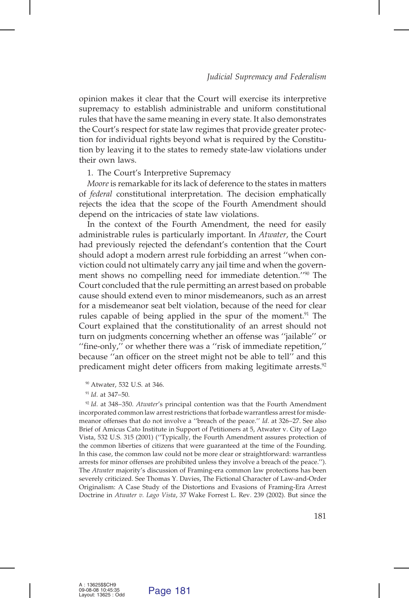opinion makes it clear that the Court will exercise its interpretive supremacy to establish administrable and uniform constitutional rules that have the same meaning in every state. It also demonstrates the Court's respect for state law regimes that provide greater protection for individual rights beyond what is required by the Constitution by leaving it to the states to remedy state-law violations under their own laws.

# 1. The Court's Interpretive Supremacy

*Moore* is remarkable for its lack of deference to the states in matters of *federal* constitutional interpretation. The decision emphatically rejects the idea that the scope of the Fourth Amendment should depend on the intricacies of state law violations.

In the context of the Fourth Amendment, the need for easily administrable rules is particularly important. In *Atwater*, the Court had previously rejected the defendant's contention that the Court should adopt a modern arrest rule forbidding an arrest ''when conviction could not ultimately carry any jail time and when the government shows no compelling need for immediate detention.''90 The Court concluded that the rule permitting an arrest based on probable cause should extend even to minor misdemeanors, such as an arrest for a misdemeanor seat belt violation, because of the need for clear rules capable of being applied in the spur of the moment.<sup>91</sup> The Court explained that the constitutionality of an arrest should not turn on judgments concerning whether an offense was ''jailable'' or ''fine-only,'' or whether there was a ''risk of immediate repetition,'' because ''an officer on the street might not be able to tell'' and this predicament might deter officers from making legitimate arrests.<sup>92</sup>

<sup>92</sup> *Id*. at 348–350. *Atwater*'s principal contention was that the Fourth Amendment incorporated common law arrest restrictions that forbade warrantless arrest for misdemeanor offenses that do not involve a ''breach of the peace.'' *Id*. at 326–27. See also Brief of Amicus Cato Institute in Support of Petitioners at 5, Atwater v. City of Lago Vista, 532 U.S. 315 (2001) (''Typically, the Fourth Amendment assures protection of the common liberties of citizens that were guaranteed at the time of the Founding. In this case, the common law could not be more clear or straightforward: warrantless arrests for minor offenses are prohibited unless they involve a breach of the peace.''). The *Atwater* majority's discussion of Framing-era common law protections has been severely criticized. See Thomas Y. Davies, The Fictional Character of Law-and-Order Originalism: A Case Study of the Distortions and Evasions of Framing-Era Arrest Doctrine in *Atwater v. Lago Vista*, 37 Wake Forrest L. Rev. 239 (2002). But since the

<sup>90</sup> Atwater, 532 U.S. at 346.

<sup>91</sup> *Id*. at 347–50.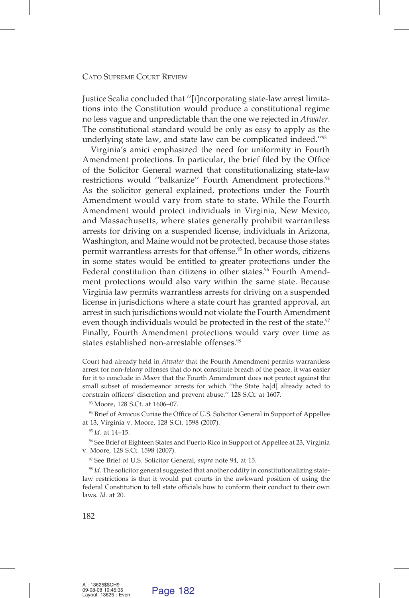Justice Scalia concluded that ''[i]ncorporating state-law arrest limitations into the Constitution would produce a constitutional regime no less vague and unpredictable than the one we rejected in *Atwater*. The constitutional standard would be only as easy to apply as the underlying state law, and state law can be complicated indeed.''93

Virginia's amici emphasized the need for uniformity in Fourth Amendment protections. In particular, the brief filed by the Office of the Solicitor General warned that constitutionalizing state-law restrictions would "balkanize" Fourth Amendment protections.<sup>94</sup> As the solicitor general explained, protections under the Fourth Amendment would vary from state to state. While the Fourth Amendment would protect individuals in Virginia, New Mexico, and Massachusetts, where states generally prohibit warrantless arrests for driving on a suspended license, individuals in Arizona, Washington, and Maine would not be protected, because those states permit warrantless arrests for that offense.<sup>95</sup> In other words, citizens in some states would be entitled to greater protections under the Federal constitution than citizens in other states.<sup>96</sup> Fourth Amendment protections would also vary within the same state. Because Virginia law permits warrantless arrests for driving on a suspended license in jurisdictions where a state court has granted approval, an arrest in such jurisdictions would not violate the Fourth Amendment even though individuals would be protected in the rest of the state.<sup>97</sup> Finally, Fourth Amendment protections would vary over time as states established non-arrestable offenses.<sup>98</sup>

Court had already held in *Atwater* that the Fourth Amendment permits warrantless arrest for non-felony offenses that do not constitute breach of the peace, it was easier for it to conclude in *Moore* that the Fourth Amendment does not protect against the small subset of misdemeanor arrests for which ''the State ha[d] already acted to constrain officers' discretion and prevent abuse.'' 128 S.Ct. at 1607.

<sup>93</sup> Moore, 128 S.Ct. at 1606–07.

<sup>94</sup> Brief of Amicus Curiae the Office of U.S. Solicitor General in Support of Appellee at 13, Virginia v. Moore, 128 S.Ct. 1598 (2007).

<sup>95</sup> *Id*. at 14–15.

<sup>96</sup> See Brief of Eighteen States and Puerto Rico in Support of Appellee at 23, Virginia v. Moore, 128 S.Ct. 1598 (2007).

<sup>97</sup> See Brief of U.S. Solicitor General, *supra* note 94, at 15.

<sup>98</sup> *Id*. The solicitor general suggested that another oddity in constitutionalizing statelaw restrictions is that it would put courts in the awkward position of using the federal Constitution to tell state officials how to conform their conduct to their own laws. *Id*. at 20.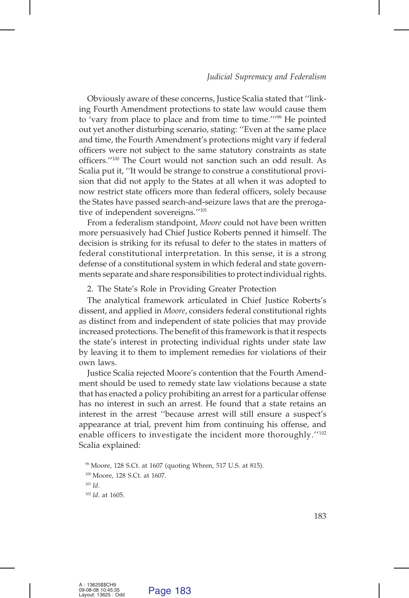## *Judicial Supremacy and Federalism*

Obviously aware of these concerns, Justice Scalia stated that ''linking Fourth Amendment protections to state law would cause them to 'vary from place to place and from time to time.''<sup>199</sup> He pointed out yet another disturbing scenario, stating: ''Even at the same place and time, the Fourth Amendment's protections might vary if federal officers were not subject to the same statutory constraints as state officers.''100 The Court would not sanction such an odd result. As Scalia put it, ''It would be strange to construe a constitutional provision that did not apply to the States at all when it was adopted to now restrict state officers more than federal officers, solely because the States have passed search-and-seizure laws that are the prerogative of independent sovereigns.''101

From a federalism standpoint, *Moore* could not have been written more persuasively had Chief Justice Roberts penned it himself. The decision is striking for its refusal to defer to the states in matters of federal constitutional interpretation. In this sense, it is a strong defense of a constitutional system in which federal and state governments separate and share responsibilities to protect individual rights.

2. The State's Role in Providing Greater Protection

The analytical framework articulated in Chief Justice Roberts's dissent, and applied in *Moore*, considers federal constitutional rights as distinct from and independent of state policies that may provide increased protections. The benefit of this framework is that it respects the state's interest in protecting individual rights under state law by leaving it to them to implement remedies for violations of their own laws.

Justice Scalia rejected Moore's contention that the Fourth Amendment should be used to remedy state law violations because a state that has enacted a policy prohibiting an arrest for a particular offense has no interest in such an arrest. He found that a state retains an interest in the arrest ''because arrest will still ensure a suspect's appearance at trial, prevent him from continuing his offense, and enable officers to investigate the incident more thoroughly.''102 Scalia explained:

<sup>101</sup> *Id*.

<sup>99</sup> Moore, 128 S.Ct. at 1607 (quoting Whren, 517 U.S. at 815).

<sup>100</sup> Moore, 128 S.Ct. at 1607.

<sup>102</sup> *Id*. at 1605.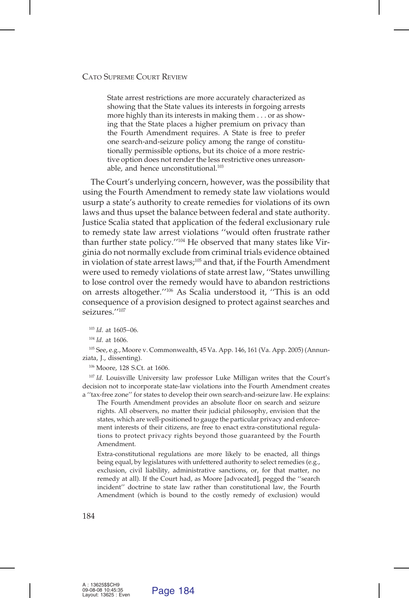State arrest restrictions are more accurately characterized as showing that the State values its interests in forgoing arrests more highly than its interests in making them . . . or as showing that the State places a higher premium on privacy than the Fourth Amendment requires. A State is free to prefer one search-and-seizure policy among the range of constitutionally permissible options, but its choice of a more restrictive option does not render the less restrictive ones unreasonable, and hence unconstitutional.<sup>103</sup>

The Court's underlying concern, however, was the possibility that using the Fourth Amendment to remedy state law violations would usurp a state's authority to create remedies for violations of its own laws and thus upset the balance between federal and state authority. Justice Scalia stated that application of the federal exclusionary rule to remedy state law arrest violations ''would often frustrate rather than further state policy.''104 He observed that many states like Virginia do not normally exclude from criminal trials evidence obtained in violation of state arrest laws;<sup>105</sup> and that, if the Fourth Amendment were used to remedy violations of state arrest law, ''States unwilling to lose control over the remedy would have to abandon restrictions on arrests altogether.''106 As Scalia understood it, ''This is an odd consequence of a provision designed to protect against searches and seizures.''107

<sup>103</sup> *Id*. at 1605–06.

<sup>104</sup> *Id*. at 1606.

<sup>105</sup> See, e.g., Moore v. Commonwealth, 45 Va. App. 146, 161 (Va. App. 2005) (Annunziata, J., dissenting).

<sup>106</sup> Moore, 128 S.Ct. at 1606.

<sup>107</sup> *Id*. Louisville University law professor Luke Milligan writes that the Court's decision not to incorporate state-law violations into the Fourth Amendment creates a ''tax-free zone'' for states to develop their own search-and-seizure law. He explains:

The Fourth Amendment provides an absolute floor on search and seizure rights. All observers, no matter their judicial philosophy, envision that the states, which are well-positioned to gauge the particular privacy and enforcement interests of their citizens, are free to enact extra-constitutional regulations to protect privacy rights beyond those guaranteed by the Fourth Amendment.

Extra-constitutional regulations are more likely to be enacted, all things being equal, by legislatures with unfettered authority to select remedies (e.g., exclusion, civil liability, administrative sanctions, or, for that matter, no remedy at all). If the Court had, as Moore [advocated], pegged the ''search incident'' doctrine to state law rather than constitutional law, the Fourth Amendment (which is bound to the costly remedy of exclusion) would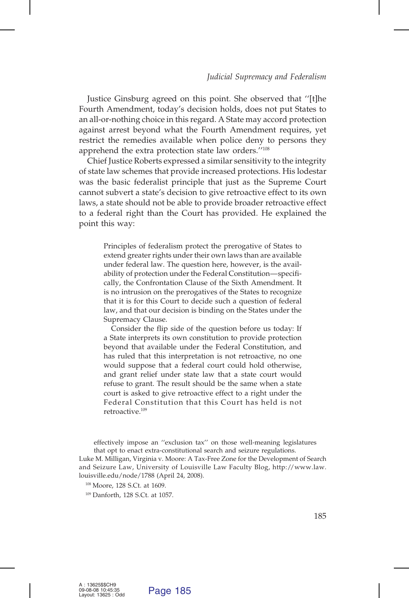Justice Ginsburg agreed on this point. She observed that ''[t]he Fourth Amendment, today's decision holds, does not put States to an all-or-nothing choice in this regard. A State may accord protection against arrest beyond what the Fourth Amendment requires, yet restrict the remedies available when police deny to persons they apprehend the extra protection state law orders.''108

Chief Justice Roberts expressed a similar sensitivity to the integrity of state law schemes that provide increased protections. His lodestar was the basic federalist principle that just as the Supreme Court cannot subvert a state's decision to give retroactive effect to its own laws, a state should not be able to provide broader retroactive effect to a federal right than the Court has provided. He explained the point this way:

Principles of federalism protect the prerogative of States to extend greater rights under their own laws than are available under federal law. The question here, however, is the availability of protection under the Federal Constitution—specifically, the Confrontation Clause of the Sixth Amendment. It is no intrusion on the prerogatives of the States to recognize that it is for this Court to decide such a question of federal law, and that our decision is binding on the States under the Supremacy Clause.

Consider the flip side of the question before us today: If a State interprets its own constitution to provide protection beyond that available under the Federal Constitution, and has ruled that this interpretation is not retroactive, no one would suppose that a federal court could hold otherwise, and grant relief under state law that a state court would refuse to grant. The result should be the same when a state court is asked to give retroactive effect to a right under the Federal Constitution that this Court has held is not retroactive.109

effectively impose an ''exclusion tax'' on those well-meaning legislatures that opt to enact extra-constitutional search and seizure regulations.

Luke M. Milligan, Virginia v. Moore: A Tax-Free Zone for the Development of Search and Seizure Law, University of Louisville Law Faculty Blog, http://www.law. louisville.edu/node/1788 (April 24, 2008).



<sup>108</sup> Moore, 128 S.Ct. at 1609.

<sup>109</sup> Danforth, 128 S.Ct. at 1057.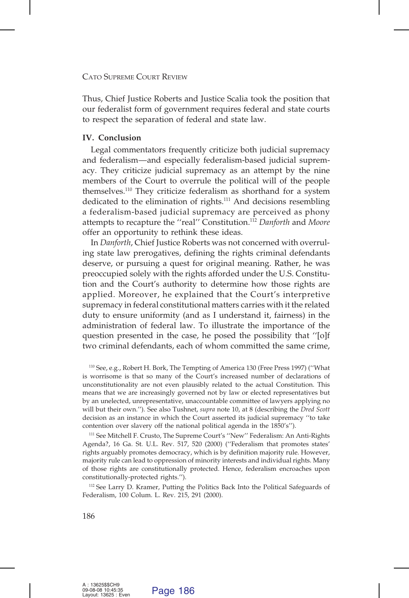Thus, Chief Justice Roberts and Justice Scalia took the position that our federalist form of government requires federal and state courts to respect the separation of federal and state law.

## **IV. Conclusion**

Legal commentators frequently criticize both judicial supremacy and federalism—and especially federalism-based judicial supremacy. They criticize judicial supremacy as an attempt by the nine members of the Court to overrule the political will of the people themselves.110 They criticize federalism as shorthand for a system dedicated to the elimination of rights.<sup>111</sup> And decisions resembling a federalism-based judicial supremacy are perceived as phony attempts to recapture the ''real'' Constitution.112 *Danforth* and *Moore* offer an opportunity to rethink these ideas.

In *Danforth*, Chief Justice Roberts was not concerned with overruling state law prerogatives, defining the rights criminal defendants deserve, or pursuing a quest for original meaning. Rather, he was preoccupied solely with the rights afforded under the U.S. Constitution and the Court's authority to determine how those rights are applied. Moreover, he explained that the Court's interpretive supremacy in federal constitutional matters carries with it the related duty to ensure uniformity (and as I understand it, fairness) in the administration of federal law. To illustrate the importance of the question presented in the case, he posed the possibility that ''[o]f two criminal defendants, each of whom committed the same crime,

<sup>110</sup> See, e.g., Robert H. Bork, The Tempting of America 130 (Free Press 1997) (''What is worrisome is that so many of the Court's increased number of declarations of unconstitutionality are not even plausibly related to the actual Constitution. This means that we are increasingly governed not by law or elected representatives but by an unelected, unrepresentative, unaccountable committee of lawyers applying no will but their own.''). See also Tushnet, *supra* note 10, at 8 (describing the *Dred Scott* decision as an instance in which the Court asserted its judicial supremacy ''to take contention over slavery off the national political agenda in the 1850's'').

<sup>111</sup> See Mitchell F. Crusto, The Supreme Court's "New" Federalism: An Anti-Rights Agenda?, 16 Ga. St. U.L. Rev. 517, 520 (2000) (''Federalism that promotes states' rights arguably promotes democracy, which is by definition majority rule. However, majority rule can lead to oppression of minority interests and individual rights. Many of those rights are constitutionally protected. Hence, federalism encroaches upon constitutionally-protected rights.'').

<sup>112</sup> See Larry D. Kramer, Putting the Politics Back Into the Political Safeguards of Federalism, 100 Colum. L. Rev. 215, 291 (2000).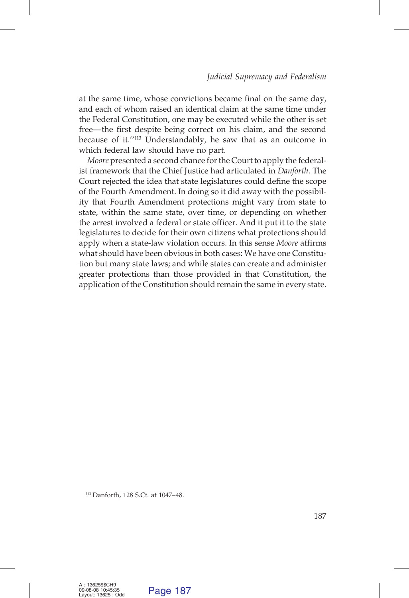# *Judicial Supremacy and Federalism*

at the same time, whose convictions became final on the same day, and each of whom raised an identical claim at the same time under the Federal Constitution, one may be executed while the other is set free—the first despite being correct on his claim, and the second because of it.''113 Understandably, he saw that as an outcome in which federal law should have no part.

*Moore* presented a second chance for the Court to apply the federalist framework that the Chief Justice had articulated in *Danforth*. The Court rejected the idea that state legislatures could define the scope of the Fourth Amendment. In doing so it did away with the possibility that Fourth Amendment protections might vary from state to state, within the same state, over time, or depending on whether the arrest involved a federal or state officer. And it put it to the state legislatures to decide for their own citizens what protections should apply when a state-law violation occurs. In this sense *Moore* affirms what should have been obvious in both cases: We have one Constitution but many state laws; and while states can create and administer greater protections than those provided in that Constitution, the application of the Constitution should remain the same in every state.

<sup>113</sup> Danforth, 128 S.Ct. at 1047–48.

Page 187

A : 13625\$\$CH9 09-08-08 10:45:35